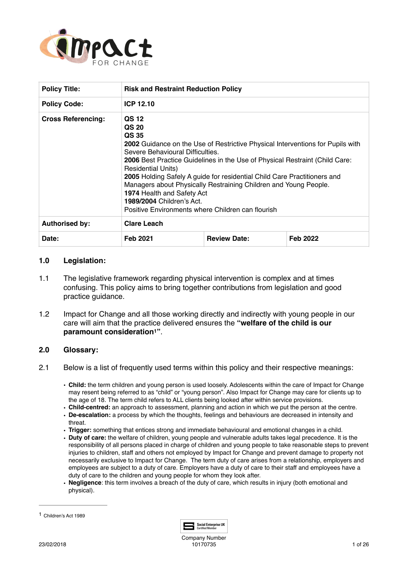

| <b>Policy Title:</b>      | <b>Risk and Restraint Reduction Policy</b>                                                                                                                                                                                                                                                                                                                                                                                                                                                                                                     |                     |          |  |  |  |
|---------------------------|------------------------------------------------------------------------------------------------------------------------------------------------------------------------------------------------------------------------------------------------------------------------------------------------------------------------------------------------------------------------------------------------------------------------------------------------------------------------------------------------------------------------------------------------|---------------------|----------|--|--|--|
| <b>Policy Code:</b>       | ICP 12.10                                                                                                                                                                                                                                                                                                                                                                                                                                                                                                                                      |                     |          |  |  |  |
| <b>Cross Referencing:</b> | QS 12<br>QS 20<br>QS 35<br><b>2002</b> Guidance on the Use of Restrictive Physical Interventions for Pupils with<br>Severe Behavioural Difficulties.<br><b>2006</b> Best Practice Guidelines in the Use of Physical Restraint (Child Care:<br><b>Residential Units)</b><br>2005 Holding Safely A guide for residential Child Care Practitioners and<br>Managers about Physically Restraining Children and Young People.<br>1974 Health and Safety Act<br><b>1989/2004 Children's Act.</b><br>Positive Environments where Children can flourish |                     |          |  |  |  |
| <b>Authorised by:</b>     | <b>Clare Leach</b>                                                                                                                                                                                                                                                                                                                                                                                                                                                                                                                             |                     |          |  |  |  |
| Date:                     | <b>Feb 2021</b>                                                                                                                                                                                                                                                                                                                                                                                                                                                                                                                                | <b>Review Date:</b> | Feb 2022 |  |  |  |

# **1.0 Legislation:**

- 1.1 The legislative framework regarding physical intervention is complex and at times confusing. This policy aims to bring together contributions from legislation and good practice guidance.
- <span id="page-0-1"></span>1.2 Impact for Change and all those working directly and indirectly with young people in our care will aim that the practice delivered ensures the **"welfare of the child is our paramount consideration<sup>[1](#page-0-0)</sup>".**

### **2.0 Glossary:**

- 2.1 Below is a list of frequently used terms within this policy and their respective meanings:
	- **Child:** the term children and young person is used loosely. Adolescents within the care of Impact for Change may resent being referred to as "child" or "young person". Also Impact for Change may care for clients up to the age of 18. The term child refers to ALL clients being looked after within service provisions.
	- **Child-centred:** an approach to assessment, planning and action in which we put the person at the centre.
	- **De-escalation:** a process by which the thoughts, feelings and behaviours are decreased in intensity and threat.
	- **Trigger:** something that entices strong and immediate behavioural and emotional changes in a child.
	- **Duty of care:** the welfare of children, young people and vulnerable adults takes legal precedence. It is the responsibility of all persons placed in charge of children and young people to take reasonable steps to prevent injuries to children, staff and others not employed by Impact for Change and prevent damage to property not necessarily exclusive to Impact for Change. The term duty of care arises from a relationship, employers and employees are subject to a duty of care. Employers have a duty of care to their staff and employees have a duty of care to the children and young people for whom they look after.
	- **Negligence**: this term involves a breach of the duty of care, which results in injury (both emotional and physical).



Company Number 10170735 10170735

<span id="page-0-0"></span><sup>&</sup>lt;sup>[1](#page-0-1)</sup> Children's Act 1989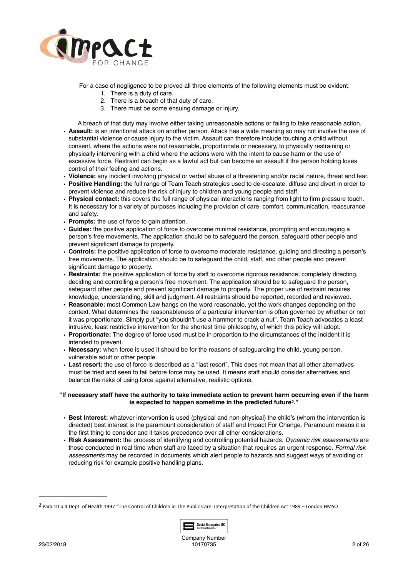

For a case of negligence to be proved all three elements of the following elements must be evident:

- 1. There is a duty of care.
- 2. There is a breach of that duty of care.
- 3. There must be some ensuing damage or injury.

A breach of that duty may involve either taking unreasonable actions or failing to take reasonable action. • **Assault:** is an intentional attack on another person. Attack has a wide meaning so may not involve the use of substantial violence or cause injury to the victim. Assault can therefore include touching a child without consent, where the actions were not reasonable, proportionate or necessary, to physically restraining or physically intervening with a child where the actions were with the intent to cause harm or the use of excessive force. Restraint can begin as a lawful act but can become an assault if the person holding loses control of their feeling and actions.

- **Violence:** any incident involving physical or verbal abuse of a threatening and/or racial nature, threat and fear.
- **Positive Handling:** the full range of Team Teach strategies used to de-escalate, diffuse and divert in order to prevent violence and reduce the risk of injury to children and young people and staff.
- **Physical contact:** this covers the full range of physical interactions ranging from light to firm pressure touch. It is necessary for a variety of purposes including the provision of care, comfort, communication, reassurance and safety.
- **Prompts:** the use of force to gain attention.
- **Guides:** the positive application of force to overcome minimal resistance, prompting and encouraging a person's free movements. The application should be to safeguard the person, safeguard other people and prevent significant damage to property.
- **Controls:** the positive application of force to overcome moderate resistance, guiding and directing a person's free movements. The application should be to safeguard the child, staff, and other people and prevent significant damage to property.
- **Restraints:** the positive application of force by staff to overcome rigorous resistance; completely directing, deciding and controlling a person's free movement. The application should be to safeguard the person, safeguard other people and prevent significant damage to property. The proper use of restraint requires knowledge, understanding, skill and judgment. All restraints should be reported, recorded and reviewed.
- **Reasonable:** most Common Law hangs on the word reasonable, yet the work changes depending on the context. What determines the reasonableness of a particular intervention is often governed by whether or not it was proportionate. Simply put "you shouldn't use a hammer to crack a nut". Team Teach advocates a least intrusive, least restrictive intervention for the shortest time philosophy, of which this policy will adopt.
- **Proportionate:** The degree of force used must be in proportion to the circumstances of the incident it is intended to prevent.
- **Necessary:** when force is used it should be for the reasons of safeguarding the child, young person, vulnerable adult or other people.
- **Last resort:** the use of force is described as a "last resort". This does not mean that all other alternatives must be tried and seen to fail before force may be used. It means staff should consider alternatives and balance the risks of using force against alternative, realistic options.

### **"If necessary staff have the authority to take immediate action to prevent harm occurring even if the harm is expected to happen sometime in the predicted future<sup>2</sup>[.](#page-1-0)**"

- <span id="page-1-1"></span>• **Best Interest:** whatever intervention is used (physical and non-physical) the child's (whom the intervention is directed) best interest is the paramount consideration of staff and Impact For Change. Paramount means it is the first thing to consider and it takes precedence over all other considerations.
- **Risk Assessment:** the process of identifying and controlling potential hazards. *Dynamic risk assessments* are those conducted in real time when staff are faced by a situation that requires an urgent response. *Formal risk assessments* may be recorded in documents which alert people to hazards and suggest ways of avoiding or reducing risk for example positive handling plans.

<span id="page-1-0"></span>[<sup>2</sup>](#page-1-1) Para 10 p.4 Dept. of Health 1997 "The Control of Children in The Public Care: Interpretation of the Children Act 1989 – London HMSO

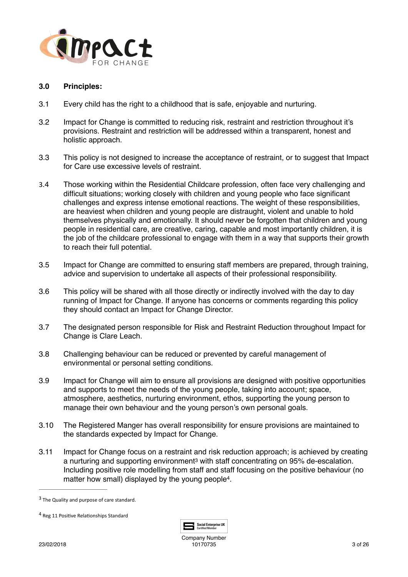

### **3.0 Principles:**

- 3.1 Every child has the right to a childhood that is safe, enjoyable and nurturing.
- 3.2 Impact for Change is committed to reducing risk, restraint and restriction throughout it's provisions. Restraint and restriction will be addressed within a transparent, honest and holistic approach.
- 3.3 This policy is not designed to increase the acceptance of restraint, or to suggest that Impact for Care use excessive levels of restraint.
- 3.4 Those working within the Residential Childcare profession, often face very challenging and difficult situations; working closely with children and young people who face significant challenges and express intense emotional reactions. The weight of these responsibilities, are heaviest when children and young people are distraught, violent and unable to hold themselves physically and emotionally. It should never be forgotten that children and young people in residential care, are creative, caring, capable and most importantly children, it is the job of the childcare professional to engage with them in a way that supports their growth to reach their full potential.
- 3.5 Impact for Change are committed to ensuring staff members are prepared, through training, advice and supervision to undertake all aspects of their professional responsibility.
- 3.6 This policy will be shared with all those directly or indirectly involved with the day to day running of Impact for Change. If anyone has concerns or comments regarding this policy they should contact an Impact for Change Director.
- 3.7 The designated person responsible for Risk and Restraint Reduction throughout Impact for Change is Clare Leach.
- 3.8 Challenging behaviour can be reduced or prevented by careful management of environmental or personal setting conditions.
- 3.9 Impact for Change will aim to ensure all provisions are designed with positive opportunities and supports to meet the needs of the young people, taking into account; space, atmosphere, aesthetics, nurturing environment, ethos, supporting the young person to manage their own behaviour and the young person's own personal goals.
- 3.10 The Registered Manger has overall responsibility for ensure provisions are maintained to the standards expected by Impact for Change.
- 3.11 Impact for Change focus on a restraint and risk reduction approach; is achieved by creating anurturing and supporting environment<sup>3</sup> with staff concentrating on 95% de-escalation. Including positive role modelling from staff and staff focusing on the positive behaviour (no matter how small) displayed by the young people<sup>[4](#page-2-1)</sup>.

<span id="page-2-3"></span><span id="page-2-2"></span>

<span id="page-2-0"></span> $3$  The Quality and purpose of care standard.

<span id="page-2-1"></span><sup>&</sup>lt;sup>[4](#page-2-3)</sup> Reg 11 Positive Relationships Standard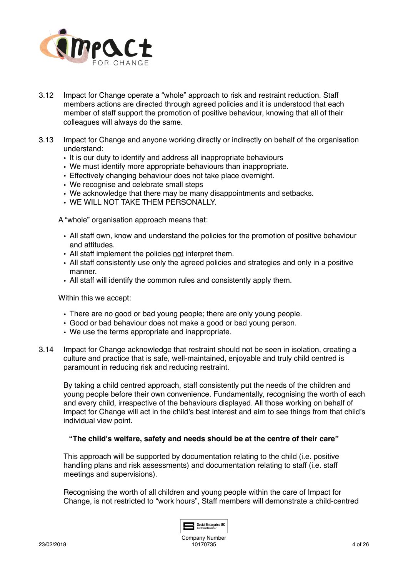

- 3.12 Impact for Change operate a "whole" approach to risk and restraint reduction. Staff members actions are directed through agreed policies and it is understood that each member of staff support the promotion of positive behaviour, knowing that all of their colleagues will always do the same.
- 3.13 Impact for Change and anyone working directly or indirectly on behalf of the organisation understand:
	- It is our duty to identify and address all inappropriate behaviours
	- We must identify more appropriate behaviours than inappropriate.
	- Effectively changing behaviour does not take place overnight.
	- We recognise and celebrate small steps
	- We acknowledge that there may be many disappointments and setbacks.
	- WE WILL NOT TAKE THEM PERSONALLY.

A "whole" organisation approach means that:

- All staff own, know and understand the policies for the promotion of positive behaviour and attitudes.
- All staff implement the policies not interpret them.
- All staff consistently use only the agreed policies and strategies and only in a positive manner.
- All staff will identify the common rules and consistently apply them.

Within this we accept:

- There are no good or bad young people; there are only young people.
- Good or bad behaviour does not make a good or bad young person.
- We use the terms appropriate and inappropriate.
- 3.14 Impact for Change acknowledge that restraint should not be seen in isolation, creating a culture and practice that is safe, well-maintained, enjoyable and truly child centred is paramount in reducing risk and reducing restraint.

By taking a child centred approach, staff consistently put the needs of the children and young people before their own convenience. Fundamentally, recognising the worth of each and every child, irrespective of the behaviours displayed. All those working on behalf of Impact for Change will act in the child's best interest and aim to see things from that child's individual view point.

### **"The child's welfare, safety and needs should be at the centre of their care"**

This approach will be supported by documentation relating to the child (i.e. positive handling plans and risk assessments) and documentation relating to staff (i.e. staff meetings and supervisions).

Recognising the worth of all children and young people within the care of Impact for Change, is not restricted to "work hours", Staff members will demonstrate a child-centred

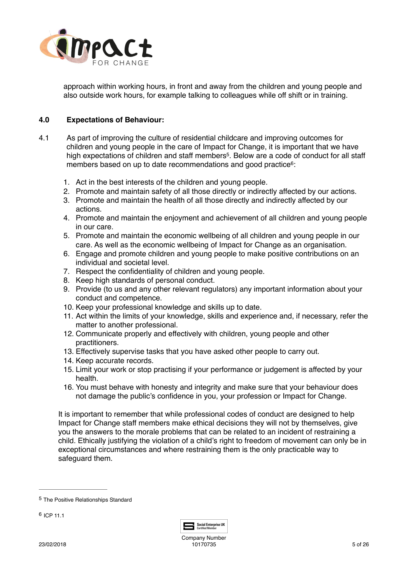

<span id="page-4-3"></span><span id="page-4-2"></span>approach within working hours, in front and away from the children and young people and also outside work hours, for example talking to colleagues while off shift or in training.

# **4.0 Expectations of Behaviour:**

- 4.1 As part of improving the culture of residential childcare and improving outcomes for children and young people in the care of Impact for Change, it is important that we have high expectations of children and staff members<sup>[5](#page-4-0)</sup>. Below are a code of conduct for all staff members based on up to date recommendations and good practice<sup>[6](#page-4-1)</sup>:
	- 1. Act in the best interests of the children and young people.
	- 2. Promote and maintain safety of all those directly or indirectly affected by our actions.
	- 3. Promote and maintain the health of all those directly and indirectly affected by our actions.
	- 4. Promote and maintain the enjoyment and achievement of all children and young people in our care.
	- 5. Promote and maintain the economic wellbeing of all children and young people in our care. As well as the economic wellbeing of Impact for Change as an organisation.
	- 6. Engage and promote children and young people to make positive contributions on an individual and societal level.
	- 7. Respect the confidentiality of children and young people.
	- 8. Keep high standards of personal conduct.
	- 9. Provide (to us and any other relevant regulators) any important information about your conduct and competence.
	- 10. Keep your professional knowledge and skills up to date.
	- 11. Act within the limits of your knowledge, skills and experience and, if necessary, refer the matter to another professional.
	- 12. Communicate properly and effectively with children, young people and other practitioners.
	- 13. Effectively supervise tasks that you have asked other people to carry out.
	- 14. Keep accurate records.
	- 15. Limit your work or stop practising if your performance or judgement is affected by your health.
	- 16. You must behave with honesty and integrity and make sure that your behaviour does not damage the public's confidence in you, your profession or Impact for Change.

It is important to remember that while professional codes of conduct are designed to help Impact for Change staff members make ethical decisions they will not by themselves, give you the answers to the morale problems that can be related to an incident of restraining a child. Ethically justifying the violation of a child's right to freedom of movement can only be in exceptional circumstances and where restraining them is the only practicable way to safeguard them.



<span id="page-4-0"></span><sup>&</sup>lt;sup>[5](#page-4-2)</sup> The Positive Relationships Standard

<span id="page-4-1"></span> $6$  ICP 11.1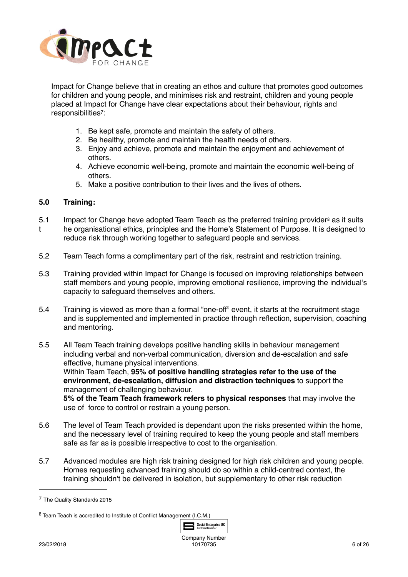

Impact for Change believe that in creating an ethos and culture that promotes good outcomes for children and young people, and minimises risk and restraint, children and young people placed at Impact for Change have clear expectations about their behaviour, rights and responsibilities<sup>7</sup>:

- <span id="page-5-2"></span>1. Be kept safe, promote and maintain the safety of others.
- 2. Be healthy, promote and maintain the health needs of others.
- 3. Enjoy and achieve, promote and maintain the enjoyment and achievement of others.
- 4. Achieve economic well-being, promote and maintain the economic well-being of others.
- <span id="page-5-3"></span>5. Make a positive contribution to their lives and the lives of others.

# **5.0 Training:**

- 5.1 Impact for Change have adopted Team Teach as the preferred training provider<sup>[8](#page-5-1)</sup> as it suits t he organisational ethics, principles and the Home's Statement of Purpose. It is designed to reduce risk through working together to safeguard people and services.
- 5.2 Team Teach forms a complimentary part of the risk, restraint and restriction training.
- 5.3 Training provided within Impact for Change is focused on improving relationships between staff members and young people, improving emotional resilience, improving the individual's capacity to safeguard themselves and others.
- 5.4 Training is viewed as more than a formal "one-off" event, it starts at the recruitment stage and is supplemented and implemented in practice through reflection, supervision, coaching and mentoring.
- 5.5 All Team Teach training develops positive handling skills in behaviour management including verbal and non-verbal communication, diversion and de-escalation and safe effective, humane physical interventions.

Within Team Teach, **95% of positive handling strategies refer to the use of the environment, de-escalation, diffusion and distraction techniques** to support the management of challenging behaviour.

**5% of the Team Teach framework refers to physical responses** that may involve the use of force to control or restrain a young person.

- 5.6 The level of Team Teach provided is dependant upon the risks presented within the home, and the necessary level of training required to keep the young people and staff members safe as far as is possible irrespective to cost to the organisation.
- 5.7 Advanced modules are high risk training designed for high risk children and young people. Homes requesting advanced training should do so within a child-centred context, the training shouldn't be delivered in isolation, but supplementary to other risk reduction

<span id="page-5-1"></span>Team Teach is accredited to Institute of Conflict Management (I.C.M.) [8](#page-5-3)



<span id="page-5-0"></span>The Quality Standards 2015 [7](#page-5-2)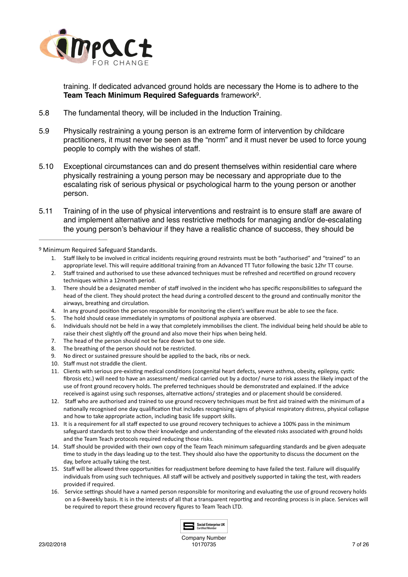

<span id="page-6-1"></span>training. If dedicated advanced ground holds are necessary the Home is to adhere to the **Team Teach Minimum Required Safeguards** framework<sup>[9](#page-6-0)</sup>.

- 5.8 The fundamental theory, will be included in the Induction Training.
- 5.9 Physically restraining a young person is an extreme form of intervention by childcare practitioners, it must never be seen as the "norm" and it must never be used to force young people to comply with the wishes of staff.
- 5.10 Exceptional circumstances can and do present themselves within residential care where physically restraining a young person may be necessary and appropriate due to the escalating risk of serious physical or psychological harm to the young person or another person.
- 5.11 Training of in the use of physical interventions and restraint is to ensure staff are aware of and implement alternative and less restrictive methods for managing and/or de-escalating the young person's behaviour if they have a realistic chance of success, they should be

<span id="page-6-0"></span><sup>[9](#page-6-1)</sup> Minimum Required Safeguard Standards.

- 1. Staff likely to be involved in critical incidents requiring ground restraints must be both "authorised" and "trained" to an appropriate level. This will require additional training from an Advanced TT Tutor following the basic 12hr TT course.
- 2. Staff trained and authorised to use these advanced techniques must be refreshed and recertified on ground recovery techniques within a 12month period.
- 3. There should be a designated member of staff involved in the incident who has specific responsibilities to safeguard the head of the client. They should protect the head during a controlled descent to the ground and continually monitor the airways, breathing and circulation.
- 4. In any ground position the person responsible for monitoring the client's welfare must be able to see the face.
- 5. The hold should cease immediately in symptoms of positional asphyxia are observed.
- 6. Individuals should not be held in a way that completely immobilises the client. The individual being held should be able to raise their chest slightly off the ground and also move their hips when being held.
- 7. The head of the person should not be face down but to one side.
- 8. The breathing of the person should not be restricted.
- 9. No direct or sustained pressure should be applied to the back, ribs or neck.
- 10. Staff must not straddle the client.
- 11. Clients with serious pre-existing medical conditions (congenital heart defects, severe asthma, obesity, epilepsy, cystic fibrosis etc.) will need to have an assessment/ medical carried out by a doctor/ nurse to risk assess the likely impact of the use of front ground recovery holds. The preferred techniques should be demonstrated and explained. If the advice received is against using such responses, alternative actions/ strategies and or placement should be considered.
- 12. Staff who are authorised and trained to use ground recovery techniques must be first aid trained with the minimum of a nationally recognised one day qualification that includes recognising signs of physical respiratory distress, physical collapse and how to take appropriate action, including basic life support skills.
- 13. It is a requirement for all staff expected to use ground recovery techniques to achieve a 100% pass in the minimum safeguard standards test to show their knowledge and understanding of the elevated risks associated with ground holds and the Team Teach protocols required reducing those risks.
- 14. Staff should be provided with their own copy of the Team Teach minimum safeguarding standards and be given adequate time to study in the days leading up to the test. They should also have the opportunity to discuss the document on the day, before actually taking the test.
- 15. Staff will be allowed three opportunities for readjustment before deeming to have failed the test. Failure will disqualify individuals from using such techniques. All staff will be actively and positively supported in taking the test, with readers provided if required.
- 16. Service settings should have a named person responsible for monitoring and evaluating the use of ground recovery holds on a 6-8weekly basis. It is in the interests of all that a transparent reporting and recording process is in place. Services will be required to report these ground recovery figures to Team Teach LTD.

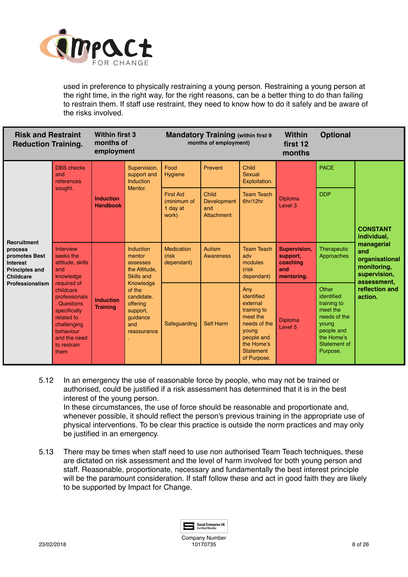

used in preference to physically restraining a young person. Restraining a young person at the right time, in the right way, for the right reasons, can be a better thing to do than failing to restrain them. If staff use restraint, they need to know how to do it safely and be aware of the risks involved.

| <b>Risk and Restraint</b><br><b>Reduction Training.</b>                                                                                                                                                                                          |                                                                                  | <b>Within first 3</b><br>months of<br>employment                                                                                                                                                            |                                                     | <b>Mandatory Training (within first 9)</b><br>months of employment)     |                                                                                                                                                  | <b>Within</b><br>first 12<br>months                                      | <b>Optional</b>                                                                                                                 |                           |                                                                                   |
|--------------------------------------------------------------------------------------------------------------------------------------------------------------------------------------------------------------------------------------------------|----------------------------------------------------------------------------------|-------------------------------------------------------------------------------------------------------------------------------------------------------------------------------------------------------------|-----------------------------------------------------|-------------------------------------------------------------------------|--------------------------------------------------------------------------------------------------------------------------------------------------|--------------------------------------------------------------------------|---------------------------------------------------------------------------------------------------------------------------------|---------------------------|-----------------------------------------------------------------------------------|
|                                                                                                                                                                                                                                                  | <b>DBS</b> checks<br>and<br>references<br>sought.                                | <b>Induction</b><br><b>Handbook</b>                                                                                                                                                                         | Supervision,<br>support and<br>Induction<br>Mentor. | Food<br>Hygiene<br><b>First Aid</b><br>(minimum of<br>1 day at<br>work) | Prevent<br>Child<br>Development<br>and<br>Attachment                                                                                             | Child<br><b>Sexual</b><br>Exploitation.<br><b>Team Teach</b><br>6hr/12hr | <b>Diploma</b><br>Level 3                                                                                                       | <b>PACE</b><br><b>DDP</b> | <b>CONSTANT</b><br>individual,                                                    |
| <b>Recruitment</b><br>Interview<br>process<br>seeks the<br>promotes Best<br><b>Interest</b><br>and<br><b>Principles and</b><br><b>Childcare</b><br>Professionalism<br>required of<br>childcare<br>related to<br>behaviour<br>to restrain<br>them | attitude, skills<br>knowledge                                                    | Induction<br>mentor<br>assesses<br>the Attitude,<br><b>Skills and</b><br>Knowledge<br>of the<br>candidate.<br><b>Induction</b><br>offering<br><b>Training</b><br>support,<br>guidance<br>and<br>reassurance |                                                     | <b>Medication</b><br>(risk<br>dependant)                                | <b>Autism</b><br>Awareness                                                                                                                       | <b>Team Teach</b><br>adv<br>modules<br>(risk<br>dependant)               | Supervision,<br>support,<br>coaching<br>and<br>mentoring.                                                                       | Therapeutic<br>Approaches | managerial<br>and<br>organisational<br>monitoring,<br>supervision,<br>assessment, |
|                                                                                                                                                                                                                                                  | professionals<br><b>Questions</b><br>specifically<br>challenging<br>and the need |                                                                                                                                                                                                             | Safequarding                                        | <b>Self Harm</b>                                                        | Any<br>identified<br>external<br>training to<br>meet the<br>needs of the<br>young<br>people and<br>the Home's<br><b>Statement</b><br>of Purpose. | <b>Diploma</b><br>Level 5                                                | Other<br>identified<br>training to<br>meet the<br>needs of the<br>young<br>people and<br>the Home's<br>Statement of<br>Purpose. | reflection and<br>action. |                                                                                   |

5.12 In an emergency the use of reasonable force by people, who may not be trained or authorised, could be justified if a risk assessment has determined that it is in the best interest of the young person.

In these circumstances, the use of force should be reasonable and proportionate and, whenever possible, it should reflect the person's previous training in the appropriate use of physical interventions. To be clear this practice is outside the norm practices and may only be justified in an emergency.

5.13 There may be times when staff need to use non authorised Team Teach techniques, these are dictated on risk assessment and the level of harm involved for both young person and staff. Reasonable, proportionate, necessary and fundamentally the best interest principle will be the paramount consideration. If staff follow these and act in good faith they are likely to be supported by Impact for Change.

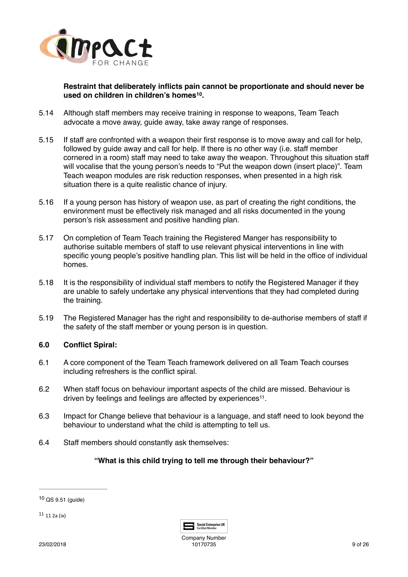

<span id="page-8-2"></span>**Restraint that deliberately inflicts pain cannot be proportionate and should never be used on children in children's homes** <sup>[10](#page-8-0)</sup>.

- 5.14 Although staff members may receive training in response to weapons, Team Teach advocate a move away, guide away, take away range of responses.
- 5.15 If staff are confronted with a weapon their first response is to move away and call for help, followed by guide away and call for help. If there is no other way (i.e. staff member cornered in a room) staff may need to take away the weapon. Throughout this situation staff will vocalise that the young person's needs to "Put the weapon down (insert place)". Team Teach weapon modules are risk reduction responses, when presented in a high risk situation there is a quite realistic chance of injury.
- 5.16 If a young person has history of weapon use, as part of creating the right conditions, the environment must be effectively risk managed and all risks documented in the young person's risk assessment and positive handling plan.
- 5.17 On completion of Team Teach training the Registered Manger has responsibility to authorise suitable members of staff to use relevant physical interventions in line with specific young people's positive handling plan. This list will be held in the office of individual homes.
- 5.18 It is the responsibility of individual staff members to notify the Registered Manager if they are unable to safely undertake any physical interventions that they had completed during the training.
- 5.19 The Registered Manager has the right and responsibility to de-authorise members of staff if the safety of the staff member or young person is in question.

# **6.0 Conflict Spiral:**

- 6.1 A core component of the Team Teach framework delivered on all Team Teach courses including refreshers is the conflict spiral.
- 6.2 When staff focus on behaviour important aspects of the child are missed. Behaviour is driven by feelings and feelings are affected by experiences<sup>[11](#page-8-1)</sup>.
- 6.3 Impact for Change believe that behaviour is a language, and staff need to look beyond the behaviour to understand what the child is attempting to tell us.
- 6.4 Staff members should constantly ask themselves:

# **"What is this child trying to tell me through their behaviour?"**

<span id="page-8-1"></span> $11$  11 2a (ix)

<span id="page-8-3"></span>

Company Number 10170735 9 of 26

<span id="page-8-0"></span> $10$  QS 9.51 (quide)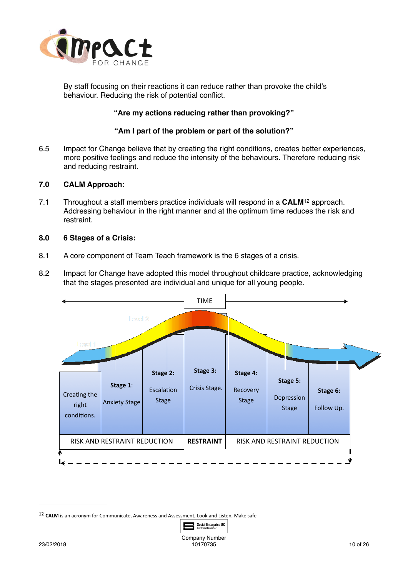

By staff focusing on their reactions it can reduce rather than provoke the child's behaviour. Reducing the risk of potential conflict.

# **"Are my actions reducing rather than provoking?"**

### <span id="page-9-1"></span>**"Am I part of the problem or part of the solution?"**

6.5 Impact for Change believe that by creating the right conditions, creates better experiences, more positive feelings and reduce the intensity of the behaviours. Therefore reducing risk and reducing restraint.

# **7.0 CALM Approach:**

7.1 Throughout a staff members practice individuals will respond in a **CALM**<sup>[12](#page-9-0)</sup> approach. Addressing behaviour in the right manner and at the optimum time reduces the risk and restraint.

### **8.0 6 Stages of a Crisis:**

- 8.1 A core component of Team Teach framework is the 6 stages of a crisis.
- 8.2 Impact for Change have adopted this model throughout childcare practice, acknowledging that the stages presented are individual and unique for all young people.



<span id="page-9-0"></span><sup>&</sup>lt;sup>[12](#page-9-1)</sup> CALM is an acronym for Communicate, Awareness and Assessment, Look and Listen, Make safe

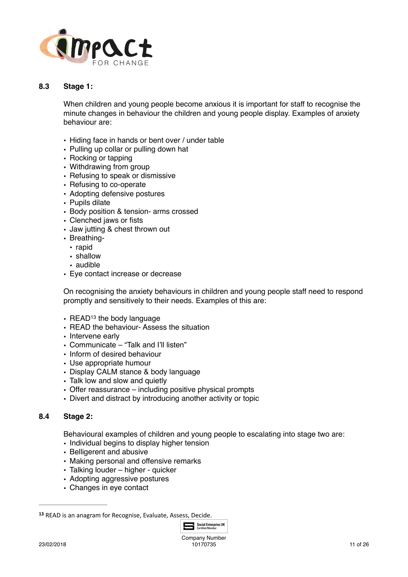

# **8.3 Stage 1:**

When children and young people become anxious it is important for staff to recognise the minute changes in behaviour the children and young people display. Examples of anxiety behaviour are:

- Hiding face in hands or bent over / under table
- Pulling up collar or pulling down hat
- Rocking or tapping
- Withdrawing from group
- Refusing to speak or dismissive
- Refusing to co-operate
- Adopting defensive postures
- Pupils dilate
- Body position & tension- arms crossed
- Clenched jaws or fists
- Jaw jutting & chest thrown out
- Breathing-
	- rapid
	- shallow
	- audible
- Eye contact increase or decrease

On recognising the anxiety behaviours in children and young people staff need to respond promptly and sensitively to their needs. Examples of this are:

- <span id="page-10-1"></span>• READ<sup>13</sup> the body language
- READ the behaviour- Assess the situation
- Intervene early
- Communicate "Talk and I'll listen"
- Inform of desired behaviour
- Use appropriate humour
- Display CALM stance & body language
- Talk low and slow and quietly
- Offer reassurance including positive physical prompts
- Divert and distract by introducing another activity or topic

# **8.4 Stage 2:**

Behavioural examples of children and young people to escalating into stage two are:

- Individual begins to display higher tension
- Belligerent and abusive
- Making personal and offensive remarks
- Talking louder higher quicker
- Adopting aggressive postures
- Changes in eye contact

<span id="page-10-0"></span>[<sup>13</sup>](#page-10-1) READ is an anagram for Recognise, Evaluate, Assess, Decide.

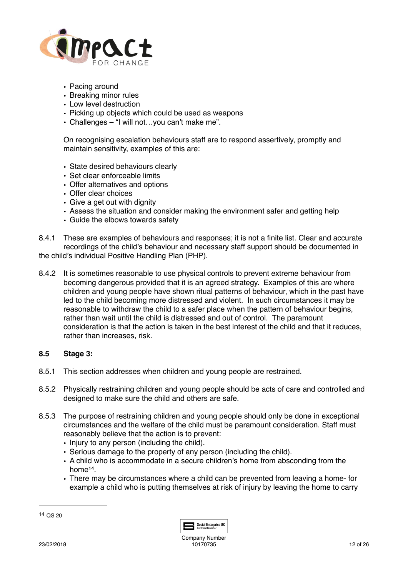

- Pacing around
- Breaking minor rules
- Low level destruction
- Picking up objects which could be used as weapons
- Challenges "I will not…you can't make me".

On recognising escalation behaviours staff are to respond assertively, promptly and maintain sensitivity, examples of this are:

- State desired behaviours clearly
- Set clear enforceable limits
- Offer alternatives and options
- Offer clear choices
- Give a get out with dignity
- Assess the situation and consider making the environment safer and getting help
- Guide the elbows towards safety
- 8.4.1 These are examples of behaviours and responses; it is not a finite list. Clear and accurate recordings of the child's behaviour and necessary staff support should be documented in the child's individual Positive Handling Plan (PHP).
- 8.4.2 It is sometimes reasonable to use physical controls to prevent extreme behaviour from becoming dangerous provided that it is an agreed strategy. Examples of this are where children and young people have shown ritual patterns of behaviour, which in the past have led to the child becoming more distressed and violent. In such circumstances it may be reasonable to withdraw the child to a safer place when the pattern of behaviour begins, rather than wait until the child is distressed and out of control. The paramount consideration is that the action is taken in the best interest of the child and that it reduces, rather than increases, risk.

### **8.5 Stage 3:**

- 8.5.1 This section addresses when children and young people are restrained.
- 8.5.2 Physically restraining children and young people should be acts of care and controlled and designed to make sure the child and others are safe.
- 8.5.3 The purpose of restraining children and young people should only be done in exceptional circumstances and the welfare of the child must be paramount consideration. Staff must reasonably believe that the action is to prevent:
	- Injury to any person (including the child).
	- Serious damage to the property of any person (including the child).
	- A child who is accommodate in a secure children's home from absconding from the  $home<sup>14</sup>$  $home<sup>14</sup>$  $home<sup>14</sup>$
	- There may be circumstances where a child can be prevented from leaving a home- for example a child who is putting themselves at risk of injury by leaving the home to carry

<span id="page-11-1"></span><span id="page-11-0"></span>

|  | 1<br>. . | ı.<br>÷ |
|--|----------|---------|
|--|----------|---------|

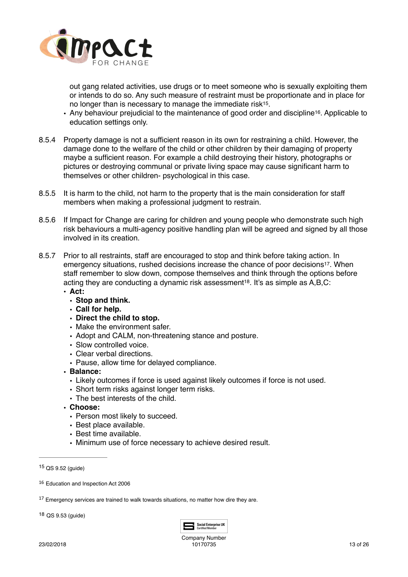

<span id="page-12-5"></span><span id="page-12-4"></span>out gang related activities, use drugs or to meet someone who is sexually exploiting them or intends to do so. Any such measure of restraint must be proportionate and in place for no longer than is necessary to manage the immediate risk<sup>15</sup>.

- Any behaviour prejudicial to the maintenance of good order and discipline<sup>16</sup>[.](#page-12-1) Applicable to education settings only.
- 8.5.4 Property damage is not a sufficient reason in its own for restraining a child. However, the damage done to the welfare of the child or other children by their damaging of property maybe a sufficient reason. For example a child destroying their history, photographs or pictures or destroying communal or private living space may cause significant harm to themselves or other children- psychological in this case.
- 8.5.5 It is harm to the child, not harm to the property that is the main consideration for staff members when making a professional judgment to restrain.
- 8.5.6 If Impact for Change are caring for children and young people who demonstrate such high risk behaviours a multi-agency positive handling plan will be agreed and signed by all those involved in its creation.
- <span id="page-12-7"></span><span id="page-12-6"></span>8.5.7 Prior to all restraints, staff are encouraged to stop and think before taking action. In emergency situations, rushed decisions increase the chance of poor decisions<sup>17</sup>. When staff remember to slow down, compose themselves and think through the options before acting they are conducting a dynamic risk assessment<sup>[18](#page-12-3)</sup>. It's as simple as  $A, B, C$ :
	- **• Act:**
		- **• Stop and think.**
		- **• Call for help.**
		- **• Direct the child to stop.**
		- Make the environment safer.
		- Adopt and CALM, non-threatening stance and posture.
		- Slow controlled voice.
		- Clear verbal directions.
		- Pause, allow time for delayed compliance.
	- **• Balance:** 
		- Likely outcomes if force is used against likely outcomes if force is not used.
		- Short term risks against longer term risks.
		- The best interests of the child.
	- **• Choose:** 
		- Person most likely to succeed.
		- Best place available.
		- Best time available.
		- Minimum use of force necessary to achieve desired result.

<span id="page-12-3"></span> $18$  QS  $9.53$  (quide)



<span id="page-12-0"></span> $15$  QS 9.52 (quide)

<span id="page-12-1"></span><sup>&</sup>lt;sup>[16](#page-12-5)</sup> Education and Inspection Act 2006

<span id="page-12-2"></span> $17$  Emergency services are trained to walk towards situations, no matter how dire they are.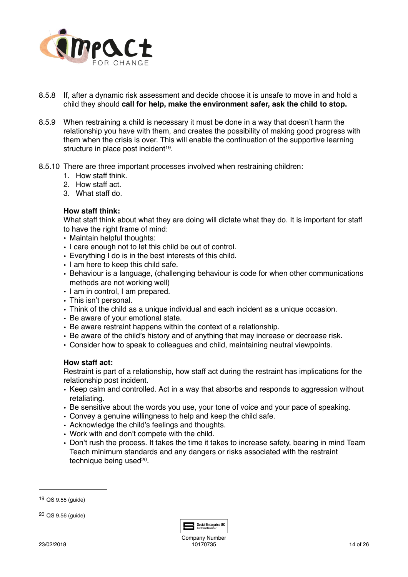

- 8.5.8 If, after a dynamic risk assessment and decide choose it is unsafe to move in and hold a child they should **call for help, make the environment safer, ask the child to stop.**
- 8.5.9 When restraining a child is necessary it must be done in a way that doesn't harm the relationship you have with them, and creates the possibility of making good progress with them when the crisis is over. This will enable the continuation of the supportive learning structure in place post incident<sup>[19](#page-13-0)</sup>.
- 8.5.10 There are three important processes involved when restraining children:
	- 1. How staff think.
	- 2. How staff act.
	- 3. What staff do.

# <span id="page-13-2"></span>**How staff think:**

What staff think about what they are doing will dictate what they do. It is important for staff to have the right frame of mind:

- Maintain helpful thoughts:
- I care enough not to let this child be out of control.
- Everything I do is in the best interests of this child.
- I am here to keep this child safe.
- Behaviour is a language, (challenging behaviour is code for when other communications methods are not working well)
- I am in control, I am prepared.
- This isn't personal.
- Think of the child as a unique individual and each incident as a unique occasion.
- Be aware of your emotional state.
- Be aware restraint happens within the context of a relationship.
- Be aware of the child's history and of anything that may increase or decrease risk.
- Consider how to speak to colleagues and child, maintaining neutral viewpoints.

### **How staff act:**

Restraint is part of a relationship, how staff act during the restraint has implications for the relationship post incident.

- Keep calm and controlled. Act in a way that absorbs and responds to aggression without retaliating.
- Be sensitive about the words you use, your tone of voice and your pace of speaking.
- Convey a genuine willingness to help and keep the child safe.
- Acknowledge the child's feelings and thoughts.
- Work with and don't compete with the child.
- Don't rush the process. It takes the time it takes to increase safety, bearing in mind Team Teach minimum standards and any dangers or risks associated with the restraint technique being used<sup>[20](#page-13-1)</sup>.

<span id="page-13-3"></span>

<span id="page-13-0"></span>QS 9.55 (guide) [19](#page-13-2)

<span id="page-13-1"></span> $20$  QS  $9.56$  (guide)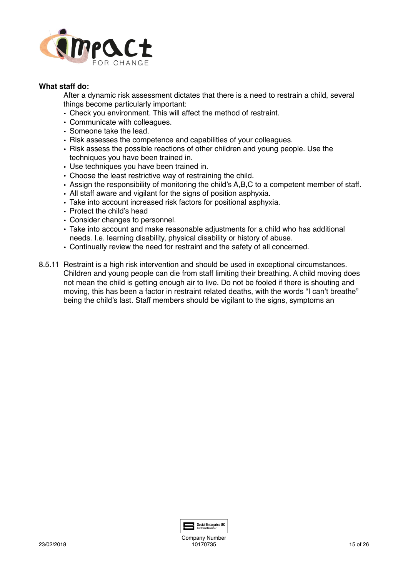

### **What staff do:**

After a dynamic risk assessment dictates that there is a need to restrain a child, several things become particularly important:

- Check you environment. This will affect the method of restraint.
- Communicate with colleagues.
- Someone take the lead.
- Risk assesses the competence and capabilities of your colleagues.
- Risk assess the possible reactions of other children and young people. Use the techniques you have been trained in.
- Use techniques you have been trained in.
- Choose the least restrictive way of restraining the child.
- Assign the responsibility of monitoring the child's A,B,C to a competent member of staff.
- All staff aware and vigilant for the signs of position asphyxia.
- Take into account increased risk factors for positional asphyxia.
- Protect the child's head
- Consider changes to personnel.
- Take into account and make reasonable adjustments for a child who has additional needs. I.e. learning disability, physical disability or history of abuse.
- Continually review the need for restraint and the safety of all concerned.
- 8.5.11 Restraint is a high risk intervention and should be used in exceptional circumstances. Children and young people can die from staff limiting their breathing. A child moving does not mean the child is getting enough air to live. Do not be fooled if there is shouting and moving, this has been a factor in restraint related deaths, with the words "I can't breathe" being the child's last. Staff members should be vigilant to the signs, symptoms an

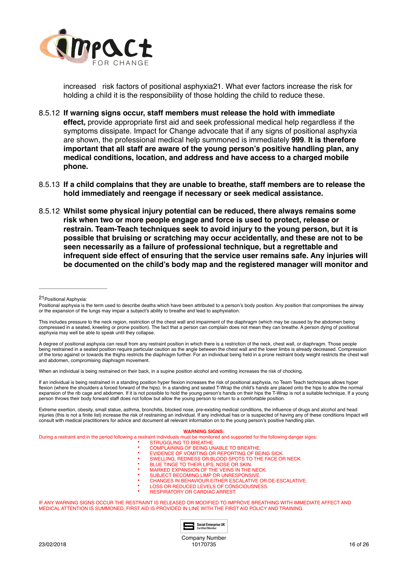

<span id="page-15-1"></span>increased risk factors of positional asphyxia[21](#page-15-0). What ever factors increase the risk for holding a child it is the responsibility of those holding the child to reduce these.

- 8.5.12 **If warning signs occur, staff members must release the hold with immediate effect,** provide appropriate first aid and seek professional medical help regardless if the symptoms dissipate. Impact for Change advocate that if any signs of positional asphyxia are shown, the professional medical help summoned is immediately **999**. **It is therefore important that all staff are aware of the young person's positive handling plan, any medical conditions, location, and address and have access to a charged mobile phone.**
- 8.5.13 **If a child complains that they are unable to breathe, staff members are to release the hold immediately and reengage if necessary or seek medical assistance.**
- 8.5.12 **Whilst some physical injury potential can be reduced, there always remains some risk when two or more people engage and force is used to protect, release or restrain. Team-Teach techniques seek to avoid injury to the young person, but it is possible that bruising or scratching may occur accidentally, and these are not to be seen necessarily as a failure of professional technique, but a regrettable and infrequent side effect of ensuring that the service user remains safe. Any injuries will be documented on the child's body map and the registered manager will monitor and**

A degree of positional asphyxia can result from any restraint position in which there is a restriction of the neck, chest wall, or diaphragm. Those people being restrained in a seated position require particular caution as the angle between the chest wall and the lower limbs is already decreased. Compression of the torso against or towards the thighs restricts the diaphragm further. For an individual being held in a prone restraint body weight restricts the chest wall and abdomen, compromising diaphragm movement.

When an individual is being restrained on their back, in a supine position alcohol and vomiting increases the risk of chocking.

If an individual is being restrained in a standing position hyper flexion increases the risk of positional asphyxia, no Team Teach techniques allows hyper flexion (where the shoulders a forced forward of the hips). In a standing and seated T-Wrap the child's hands are placed onto the hips to allow the normal expansion of the rib cage and abdomen. If it is not possible to hold the young person's hands on their hips the T-Wrap is not a suitable technique. If a young person throws their body forward staff does not follow but allow the young person to return to a comfortable position.

Extreme exertion, obesity, small statue, asthma, bronchitis, blocked nose, pre-existing medical conditions, the influence of drugs and alcohol and head injuries (this is not a finite list) increase the risk of restraining an individual. If any individual has or is suspected of having any of these conditions Impact will consult with medical practitioners for advice and document all relevant information on to the young person's positive handling plan.

#### **WARNING SIGNS:**

During a restraint and in the period following a restraint individuals must be monitored and supported for the following danger signs:

- **STRUGGLING TO BREATHE.**
- COMPLAINING OF BEING UNABLE TO BREATHE
- **EVIDENCE OF VOMITING OR REPORTING OF BEING SICK.**
- SWELLING, REDNESS OR BLOOD SPOTS TO THE FACE OR NECK.
- BLUE TINGE TO THEIR LIPS, NOSE OR SKIN. **BECK TINGS TO THEILTE BIG TOOL OF THE VEINS IN THE NECK.**
- SUBJECT BECOMING LIMP OR UNRESPONSIVE.
- CHANGES IN BEHAVIOUR EITHER ESCALATIVE OR DE-ESCALATIVE.
	- LOSS OR REDUCED LEVELS OF CONSCIOUSNESS.
	- RESPIRATORY OR CARDIAC ARREST.

IF ANY WARNING SIGNS OCCUR THE RESTRAINT IS RELEASED OR MODIFIED TO IMPROVE BREATHING WITH IMMEDIATE AFFECT AND MEDICAL ATTENTION IS SUMMONED, FIRST AID IS PROVIDED IN LINE WITH THE FIRST AID POLICY AND TRAINING.



Company Number 10170735 16 of 26

<span id="page-15-0"></span><sup>21</sup> [P](#page-15-1)ositional Asphyxia:

Positional asphyxia is the term used to describe deaths which have been attributed to a person's body position. Any position that compromises the airway or the expansion of the lungs may impair a subject's ability to breathe and lead to asphyxiation.

This includes pressure to the neck region, restriction of the chest wall and impairment of the diaphragm (which may be caused by the abdomen being compressed in a seated, kneeling or prone position). The fact that a person can complain does not mean they can breathe. A person dying of positional asphyxia may well be able to speak until they collapse.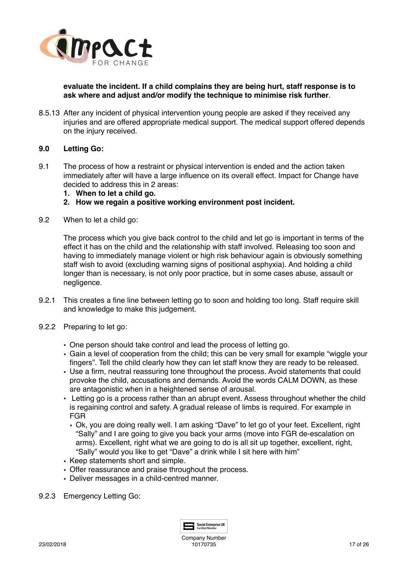

**evaluate the incident. If a child complains they are being hurt, staff response is to ask where and adjust and/or modify the technique to minimise risk further**.

8.5.13 After any incident of physical intervention young people are asked if they received any injuries and are offered appropriate medical support. The medical support offered depends on the injury received.

# **9.0 Letting Go:**

- 9.1 The process of how a restraint or physical intervention is ended and the action taken immediately after will have a large influence on its overall effect. Impact for Change have decided to address this in 2 areas:
	- **1. When to let a child go.**
	- **2. How we regain a positive working environment post incident.**
- 9.2 When to let a child go:

The process which you give back control to the child and let go is important in terms of the effect it has on the child and the relationship with staff involved. Releasing too soon and having to immediately manage violent or high risk behaviour again is obviously something staff wish to avoid (excluding warning signs of positional asphyxia). And holding a child longer than is necessary, is not only poor practice, but in some cases abuse, assault or negligence.

- 9.2.1 This creates a fine line between letting go to soon and holding too long. Staff require skill and knowledge to make this judgement.
- 9.2.2 Preparing to let go:
	- One person should take control and lead the process of letting go.
	- Gain a level of cooperation from the child; this can be very small for example "wiggle your fingers". Tell the child clearly how they can let staff know they are ready to be released.
	- Use a firm, neutral reassuring tone throughout the process. Avoid statements that could provoke the child, accusations and demands. Avoid the words CALM DOWN, as these are antagonistic when in a heightened sense of arousal.
	- Letting go is a process rather than an abrupt event. Assess throughout whether the child is regaining control and safety. A gradual release of limbs is required. For example in FGR
		- Ok, you are doing really well. I am asking "Dave" to let go of your feet. Excellent, right "Sally" and I are going to give you back your arms (move into FGR de-escalation on arms). Excellent, right what we are going to do is all sit up together, excellent, right, "Sally" would you like to get "Dave" a drink while I sit here with him"
	- Keep statements short and simple.
	- Offer reassurance and praise throughout the process.
	- Deliver messages in a child-centred manner.
- 9.2.3 Emergency Letting Go:

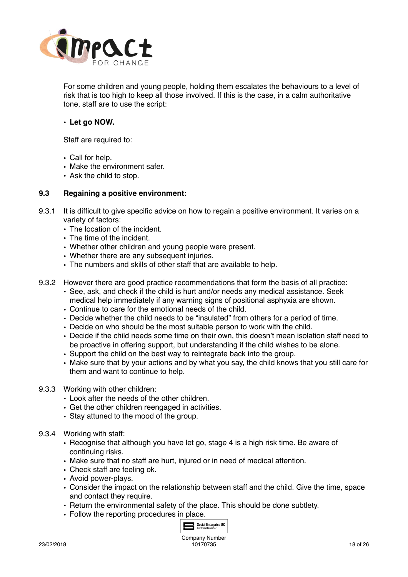

For some children and young people, holding them escalates the behaviours to a level of risk that is too high to keep all those involved. If this is the case, in a calm authoritative tone, staff are to use the script:

### • **Let go NOW.**

Staff are required to:

- Call for help.
- Make the environment safer.
- Ask the child to stop.

### **9.3 Regaining a positive environment:**

- 9.3.1 It is difficult to give specific advice on how to regain a positive environment. It varies on a variety of factors:
	- The location of the incident.
	- The time of the incident.
	- Whether other children and young people were present.
	- Whether there are any subsequent injuries.
	- The numbers and skills of other staff that are available to help.
- 9.3.2 However there are good practice recommendations that form the basis of all practice:
	- See, ask, and check if the child is hurt and/or needs any medical assistance. Seek medical help immediately if any warning signs of positional asphyxia are shown.
	- Continue to care for the emotional needs of the child.
	- Decide whether the child needs to be "insulated" from others for a period of time.
	- Decide on who should be the most suitable person to work with the child.
	- Decide if the child needs some time on their own, this doesn't mean isolation staff need to be proactive in offering support, but understanding if the child wishes to be alone.
	- Support the child on the best way to reintegrate back into the group.
	- Make sure that by your actions and by what you say, the child knows that you still care for them and want to continue to help.
- 9.3.3 Working with other children:
	- Look after the needs of the other children.
	- Get the other children reengaged in activities.
	- Stay attuned to the mood of the group.
- 9.3.4 Working with staff:
	- Recognise that although you have let go, stage 4 is a high risk time. Be aware of continuing risks.
	- Make sure that no staff are hurt, injured or in need of medical attention.
	- Check staff are feeling ok.
	- Avoid power-plays.
	- Consider the impact on the relationship between staff and the child. Give the time, space and contact they require.
	- Return the environmental safety of the place. This should be done subtlety.
	- Follow the reporting procedures in place.

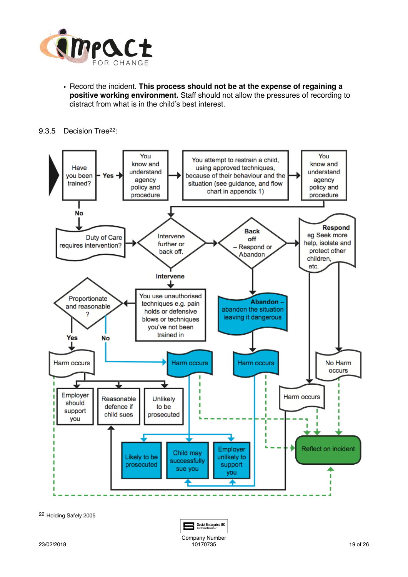

- <span id="page-18-1"></span>• Record the incident. **This process should not be at the expense of regaining a positive working environment.** Staff should not allow the pressures of recording to distract from what is in the child's best interest.
- 9.3.5 Decision Tree<sup>[22](#page-18-0)</sup>:



<span id="page-18-0"></span>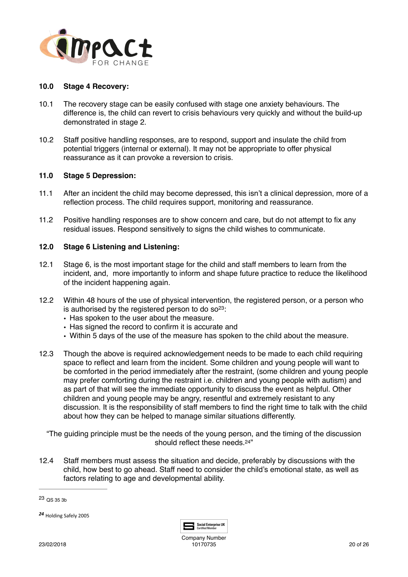

### **10.0 Stage 4 Recovery:**

- 10.1 The recovery stage can be easily confused with stage one anxiety behaviours. The difference is, the child can revert to crisis behaviours very quickly and without the build-up demonstrated in stage 2.
- 10.2 Staff positive handling responses, are to respond, support and insulate the child from potential triggers (internal or external). It may not be appropriate to offer physical reassurance as it can provoke a reversion to crisis.

### **11.0 Stage 5 Depression:**

- 11.1 After an incident the child may become depressed, this isn't a clinical depression, more of a reflection process. The child requires support, monitoring and reassurance.
- 11.2 Positive handling responses are to show concern and care, but do not attempt to fix any residual issues. Respond sensitively to signs the child wishes to communicate.

# **12.0 Stage 6 Listening and Listening:**

- 12.1 Stage 6, is the most important stage for the child and staff members to learn from the incident, and, more importantly to inform and shape future practice to reduce the likelihood of the incident happening again.
- <span id="page-19-2"></span>12.2 Within 48 hours of the use of physical intervention, the registered person, or a person who is authorised by the registered person to do  $\text{so}^{23}$  $\text{so}^{23}$  $\text{so}^{23}$ :
	- Has spoken to the user about the measure.
	- Has signed the record to confirm it is accurate and
	- Within 5 days of the use of the measure has spoken to the child about the measure.
- 12.3 Though the above is required acknowledgement needs to be made to each child requiring space to reflect and learn from the incident. Some children and young people will want to be comforted in the period immediately after the restraint, (some children and young people may prefer comforting during the restraint i.e. children and young people with autism) and as part of that will see the immediate opportunity to discuss the event as helpful. Other children and young people may be angry, resentful and extremely resistant to any discussion. It is the responsibility of staff members to find the right time to talk with the child about how they can be helped to manage similar situations differently.

"The guiding principle must be the needs of the young person, and the timing of the discussion should reflect these needs  $24"$ 

12.4 Staff members must assess the situation and decide, preferably by discussions with the child, how best to go ahead. Staff need to consider the child's emotional state, as well as factors relating to age and developmental ability.

<span id="page-19-1"></span>[24](#page-19-3) Holding Safely 2005

<span id="page-19-3"></span>

<span id="page-19-0"></span>[<sup>23</sup>](#page-19-2) QS 35 3b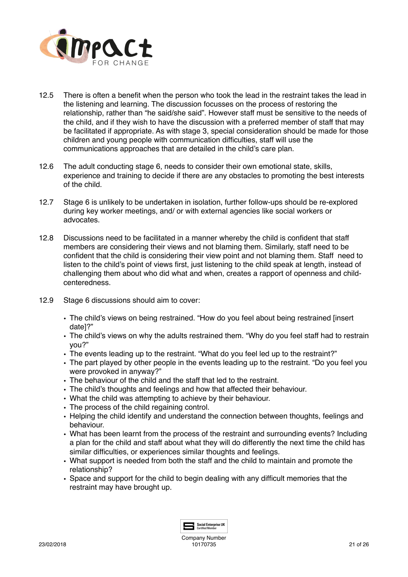

- 12.5 There is often a benefit when the person who took the lead in the restraint takes the lead in the listening and learning. The discussion focusses on the process of restoring the relationship, rather than "he said/she said". However staff must be sensitive to the needs of the child, and if they wish to have the discussion with a preferred member of staff that may be facilitated if appropriate. As with stage 3, special consideration should be made for those children and young people with communication difficulties, staff will use the communications approaches that are detailed in the child's care plan.
- 12.6 The adult conducting stage 6, needs to consider their own emotional state, skills, experience and training to decide if there are any obstacles to promoting the best interests of the child.
- 12.7 Stage 6 is unlikely to be undertaken in isolation, further follow-ups should be re-explored during key worker meetings, and/ or with external agencies like social workers or advocates.
- 12.8 Discussions need to be facilitated in a manner whereby the child is confident that staff members are considering their views and not blaming them. Similarly, staff need to be confident that the child is considering their view point and not blaming them. Staff need to listen to the child's point of views first, just listening to the child speak at length, instead of challenging them about who did what and when, creates a rapport of openness and childcenteredness.
- 12.9 Stage 6 discussions should aim to cover:
	- The child's views on being restrained. "How do you feel about being restrained [insert date]?"
	- The child's views on why the adults restrained them. "Why do you feel staff had to restrain you?"
	- The events leading up to the restraint. "What do you feel led up to the restraint?"
	- The part played by other people in the events leading up to the restraint. "Do you feel you were provoked in anyway?"
	- The behaviour of the child and the staff that led to the restraint.
	- The child's thoughts and feelings and how that affected their behaviour.
	- What the child was attempting to achieve by their behaviour.
	- The process of the child regaining control.
	- Helping the child identify and understand the connection between thoughts, feelings and behaviour.
	- What has been learnt from the process of the restraint and surrounding events? Including a plan for the child and staff about what they will do differently the next time the child has similar difficulties, or experiences similar thoughts and feelings.
	- What support is needed from both the staff and the child to maintain and promote the relationship?
	- Space and support for the child to begin dealing with any difficult memories that the restraint may have brought up.

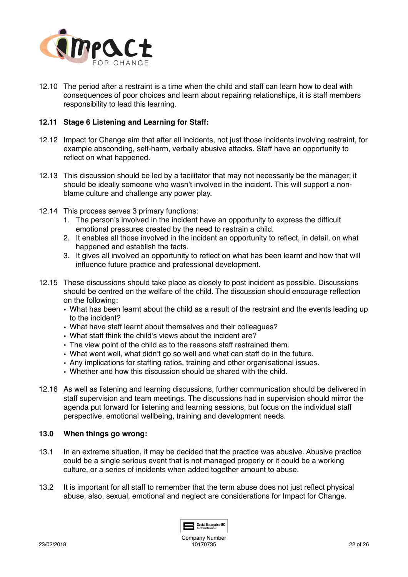

12.10 The period after a restraint is a time when the child and staff can learn how to deal with consequences of poor choices and learn about repairing relationships, it is staff members responsibility to lead this learning.

### **12.11 Stage 6 Listening and Learning for Staff:**

- 12.12 Impact for Change aim that after all incidents, not just those incidents involving restraint, for example absconding, self-harm, verbally abusive attacks. Staff have an opportunity to reflect on what happened.
- 12.13 This discussion should be led by a facilitator that may not necessarily be the manager; it should be ideally someone who wasn't involved in the incident. This will support a nonblame culture and challenge any power play.
- 12.14 This process serves 3 primary functions:
	- 1. The person's involved in the incident have an opportunity to express the difficult emotional pressures created by the need to restrain a child.
	- 2. It enables all those involved in the incident an opportunity to reflect, in detail, on what happened and establish the facts.
	- 3. It gives all involved an opportunity to reflect on what has been learnt and how that will influence future practice and professional development.
- 12.15 These discussions should take place as closely to post incident as possible. Discussions should be centred on the welfare of the child. The discussion should encourage reflection on the following:
	- What has been learnt about the child as a result of the restraint and the events leading up to the incident?
	- What have staff learnt about themselves and their colleagues?
	- What staff think the child's views about the incident are?
	- The view point of the child as to the reasons staff restrained them.
	- What went well, what didn't go so well and what can staff do in the future.
	- Any implications for staffing ratios, training and other organisational issues.
	- Whether and how this discussion should be shared with the child.
- 12.16 As well as listening and learning discussions, further communication should be delivered in staff supervision and team meetings. The discussions had in supervision should mirror the agenda put forward for listening and learning sessions, but focus on the individual staff perspective, emotional wellbeing, training and development needs.

### **13.0 When things go wrong:**

- 13.1 In an extreme situation, it may be decided that the practice was abusive. Abusive practice could be a single serious event that is not managed properly or it could be a working culture, or a series of incidents when added together amount to abuse.
- 13.2 It is important for all staff to remember that the term abuse does not just reflect physical abuse, also, sexual, emotional and neglect are considerations for Impact for Change.

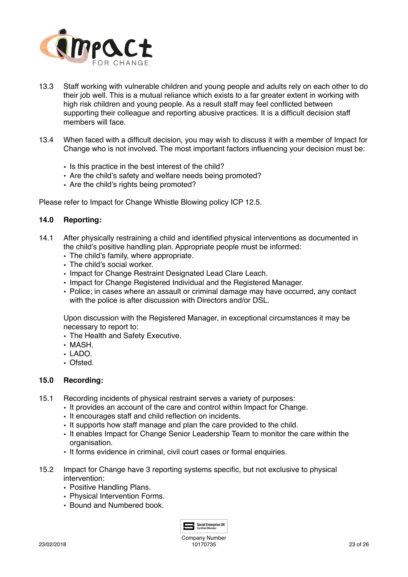

- 13.3 Staff working with vulnerable children and young people and adults rely on each other to do their job well. This is a mutual reliance which exists to a far greater extent in working with high risk children and young people. As a result staff may feel conflicted between supporting their colleague and reporting abusive practices. It is a difficult decision staff members will face.
- 13.4 When faced with a difficult decision, you may wish to discuss it with a member of Impact for Change who is not involved. The most important factors influencing your decision must be:
	- Is this practice in the best interest of the child?
	- Are the child's safety and welfare needs being promoted?
	- Are the child's rights being promoted?

Please refer to Impact for Change Whistle Blowing policy ICP 12.5.

### **14.0 Reporting:**

- 14.1 After physically restraining a child and identified physical interventions as documented in the child's positive handling plan. Appropriate people must be informed:
	- The child's family, where appropriate.
	- The child's social worker.
	- Impact for Change Restraint Designated Lead Clare Leach.
	- Impact for Change Registered Individual and the Registered Manager.
	- Police; in cases where an assault or criminal damage may have occurred, any contact with the police is after discussion with Directors and/or DSL.

Upon discussion with the Registered Manager, in exceptional circumstances it may be necessary to report to:

- The Health and Safety Executive.
- MASH.
- LADO.
- Ofsted.

# **15.0 Recording:**

- 15.1 Recording incidents of physical restraint serves a variety of purposes:
	- It provides an account of the care and control within Impact for Change.
	- It encourages staff and child reflection on incidents.
	- It supports how staff manage and plan the care provided to the child.
	- It enables Impact for Change Senior Leadership Team to monitor the care within the organisation.
	- It forms evidence in criminal, civil court cases or formal enquiries.
- 15.2 Impact for Change have 3 reporting systems specific, but not exclusive to physical intervention:
	- Positive Handling Plans.
	- Physical Intervention Forms.
	- Bound and Numbered book.

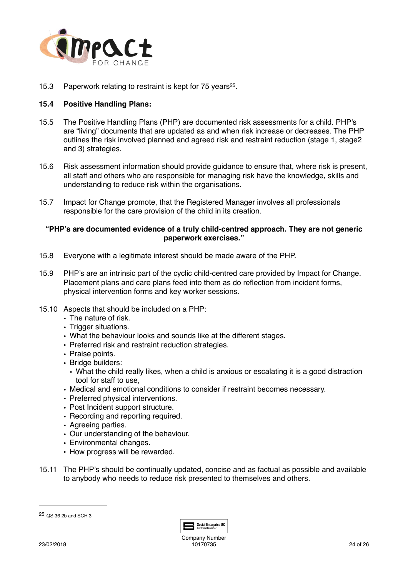

<span id="page-23-1"></span>15.3 Paperwork relating to restraint is kept for 75 years<sup>25</sup>.

### **15.4 Positive Handling Plans:**

- 15.5 The Positive Handling Plans (PHP) are documented risk assessments for a child. PHP's are "living" documents that are updated as and when risk increase or decreases. The PHP outlines the risk involved planned and agreed risk and restraint reduction (stage 1, stage2 and 3) strategies.
- 15.6 Risk assessment information should provide guidance to ensure that, where risk is present, all staff and others who are responsible for managing risk have the knowledge, skills and understanding to reduce risk within the organisations.
- 15.7 Impact for Change promote, that the Registered Manager involves all professionals responsible for the care provision of the child in its creation.

### **"PHP's are documented evidence of a truly child-centred approach. They are not generic paperwork exercises."**

- 15.8 Everyone with a legitimate interest should be made aware of the PHP.
- 15.9 PHP's are an intrinsic part of the cyclic child-centred care provided by Impact for Change. Placement plans and care plans feed into them as do reflection from incident forms, physical intervention forms and key worker sessions.
- 15.10 Aspects that should be included on a PHP:
	- The nature of risk.
	- Trigger situations.
	- What the behaviour looks and sounds like at the different stages.
	- Preferred risk and restraint reduction strategies.
	- Praise points.
	- Bridge builders:
	- What the child really likes, when a child is anxious or escalating it is a good distraction tool for staff to use,
	- Medical and emotional conditions to consider if restraint becomes necessary.
	- Preferred physical interventions.
	- Post Incident support structure.
	- Recording and reporting required.
	- Agreeing parties.
	- Our understanding of the behaviour.
	- Environmental changes.
	- How progress will be rewarded.
- 15.11 The PHP's should be continually updated, concise and as factual as possible and available to anybody who needs to reduce risk presented to themselves and others.



Company Number 10170735 24 of 26

<span id="page-23-0"></span> $25$  QS 36 2b and SCH 3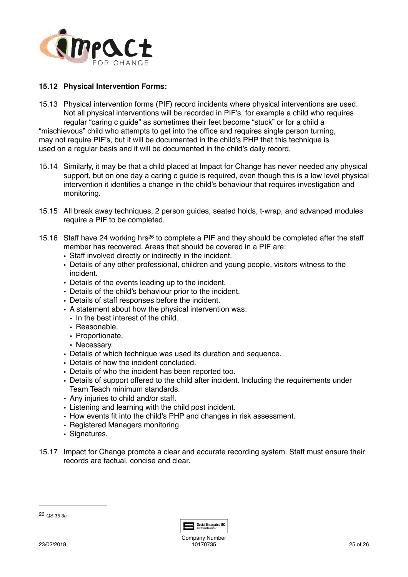

### **15.12 Physical Intervention Forms:**

- 15.13 Physical intervention forms (PIF) record incidents where physical interventions are used. Not all physical interventions will be recorded in PIF's, for example a child who requires regular "caring c guide" as sometimes their feet become "stuck" or for a child a "mischievous" child who attempts to get into the office and requires single person turning, may not require PIF's, but it will be documented in the child's PHP that this technique is used on a regular basis and it will be documented in the child's daily record.
- 15.14 Similarly, it may be that a child placed at Impact for Change has never needed any physical support, but on one day a caring c guide is required, even though this is a low level physical intervention it identifies a change in the child's behaviour that requires investigation and monitoring.
- 15.15 All break away techniques, 2 person guides, seated holds, t-wrap, and advanced modules require a PIF to be completed.
- <span id="page-24-1"></span>15.16Staff have 24 working hrs<sup>26</sup> to complete a PIF and they should be completed after the staff member has recovered. Areas that should be covered in a PIF are:
	- Staff involved directly or indirectly in the incident.
	- Details of any other professional, children and young people, visitors witness to the incident.
	- Details of the events leading up to the incident.
	- Details of the child's behaviour prior to the incident.
	- Details of staff responses before the incident.
	- A statement about how the physical intervention was:
		- In the best interest of the child
		- Reasonable.
		- Proportionate.
		- Necessary.
	- Details of which technique was used its duration and sequence.
	- Details of how the incident concluded.
	- Details of who the incident has been reported too.
	- Details of support offered to the child after incident. Including the requirements under Team Teach minimum standards.
	- Any injuries to child and/or staff.
	- Listening and learning with the child post incident.
	- How events fit into the child's PHP and changes in risk assessment.
	- Registered Managers monitoring.
	- Signatures.
- 15.17 Impact for Change promote a clear and accurate recording system. Staff must ensure their records are factual, concise and clear.

<span id="page-24-0"></span>QS 35 3a [26](#page-24-1)